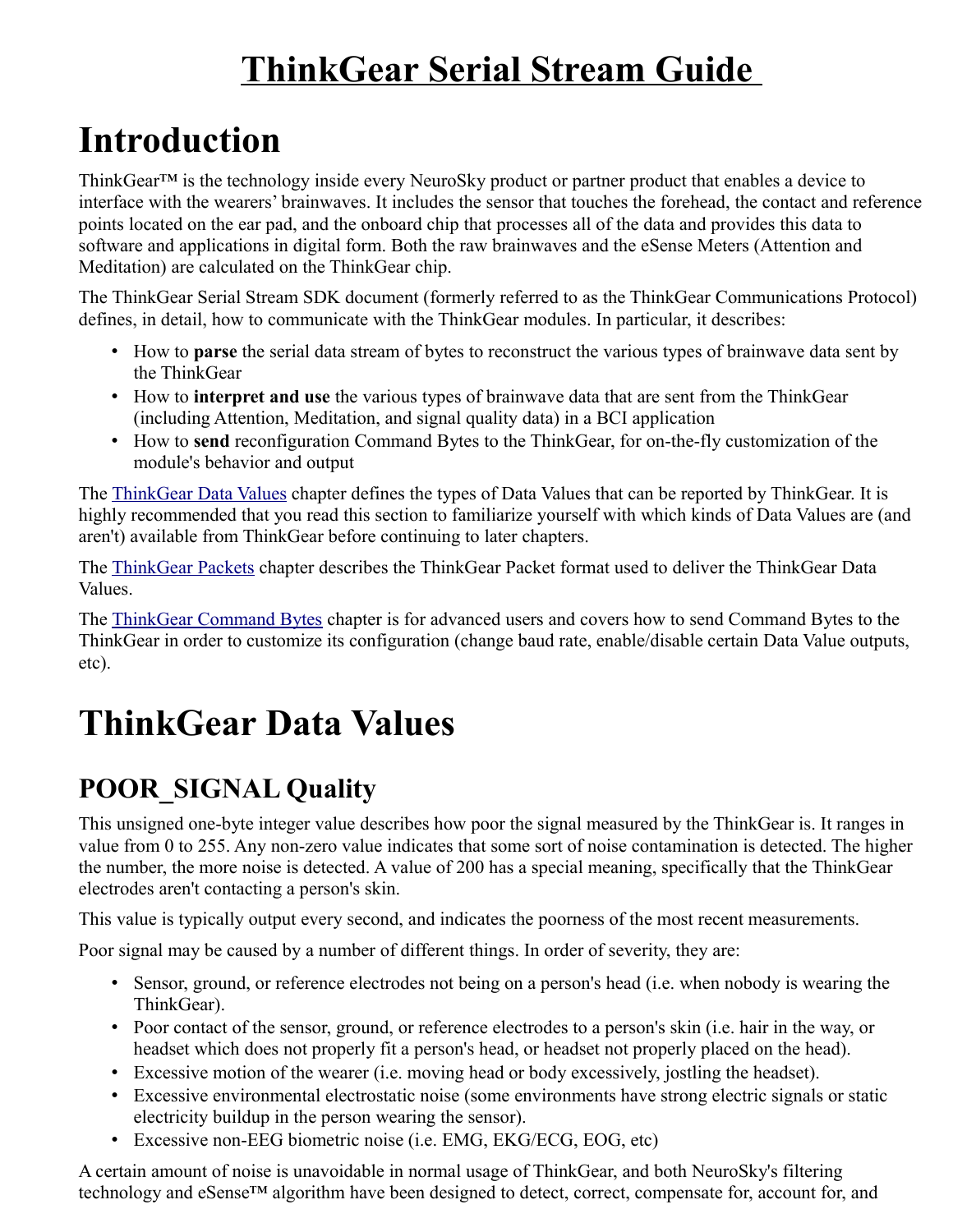# **ThinkGear Serial Stream Guide**

# **Introduction**

ThinkGear<sup>TM</sup> is the technology inside every NeuroSky product or partner product that enables a device to interface with the wearers' brainwaves. It includes the sensor that touches the forehead, the contact and reference points located on the ear pad, and the onboard chip that processes all of the data and provides this data to software and applications in digital form. Both the raw brainwaves and the eSense Meters (Attention and Meditation) are calculated on the ThinkGear chip.

The ThinkGear Serial Stream SDK document (formerly referred to as the ThinkGear Communications Protocol) defines, in detail, how to communicate with the ThinkGear modules. In particular, it describes:

- How to **parse** the serial data stream of bytes to reconstruct the various types of brainwave data sent by the ThinkGear
- How to **interpret and use** the various types of brainwave data that are sent from the ThinkGear (including Attention, Meditation, and signal quality data) in a BCI application
- How to **send** reconfiguration Command Bytes to the ThinkGear, for on-the-fly customization of the module's behavior and output

The [ThinkGear Data Values](http://developer.neurosky.com/docs/doku.php?id=thinkgear_communications_protocol#thinkgear_data_values) chapter defines the types of Data Values that can be reported by ThinkGear. It is highly recommended that you read this section to familiarize yourself with which kinds of Data Values are (and aren't) available from ThinkGear before continuing to later chapters.

The [ThinkGear Packets](http://developer.neurosky.com/docs/doku.php?id=thinkgear_communications_protocol#thinkgear_packets) chapter describes the ThinkGear Packet format used to deliver the ThinkGear Data Values.

The [ThinkGear Command Bytes](http://developer.neurosky.com/docs/doku.php?id=thinkgear_communications_protocol#thinkgear_command_bytes) chapter is for advanced users and covers how to send Command Bytes to the ThinkGear in order to customize its configuration (change baud rate, enable/disable certain Data Value outputs, etc).

# **ThinkGear Data Values**

## **POOR\_SIGNAL Quality**

This unsigned one-byte integer value describes how poor the signal measured by the ThinkGear is. It ranges in value from 0 to 255. Any non-zero value indicates that some sort of noise contamination is detected. The higher the number, the more noise is detected. A value of 200 has a special meaning, specifically that the ThinkGear electrodes aren't contacting a person's skin.

This value is typically output every second, and indicates the poorness of the most recent measurements.

Poor signal may be caused by a number of different things. In order of severity, they are:

- Sensor, ground, or reference electrodes not being on a person's head (i.e. when nobody is wearing the ThinkGear).
- Poor contact of the sensor, ground, or reference electrodes to a person's skin (i.e. hair in the way, or headset which does not properly fit a person's head, or headset not properly placed on the head).
- Excessive motion of the wearer (i.e. moving head or body excessively, jostling the headset).
- Excessive environmental electrostatic noise (some environments have strong electric signals or static electricity buildup in the person wearing the sensor).
- Excessive non-EEG biometric noise (i.e. EMG, EKG/ECG, EOG, etc)

A certain amount of noise is unavoidable in normal usage of ThinkGear, and both NeuroSky's filtering technology and eSense™ algorithm have been designed to detect, correct, compensate for, account for, and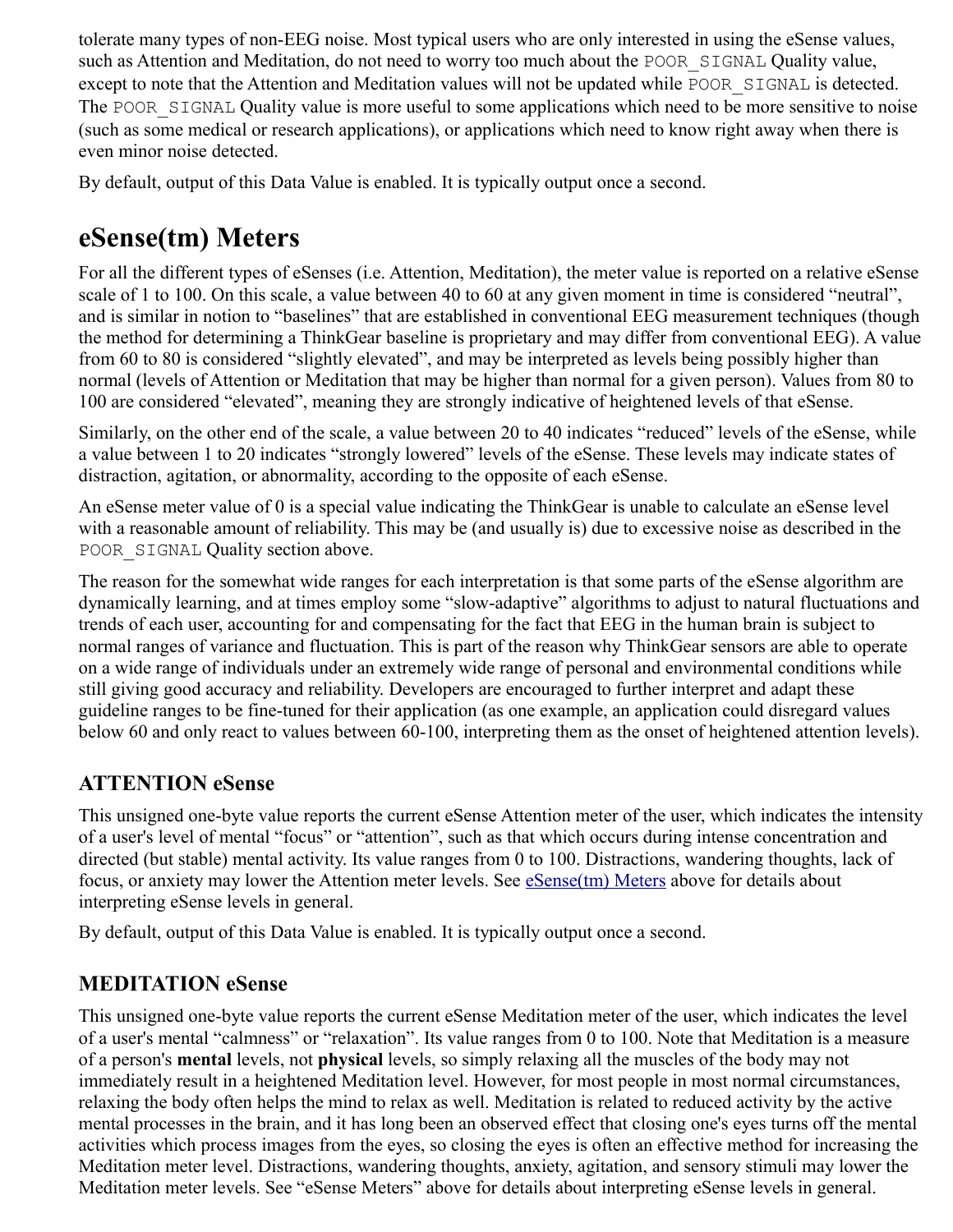tolerate many types of non-EEG noise. Most typical users who are only interested in using the eSense values, such as Attention and Meditation, do not need to worry too much about the POOR SIGNAL Quality value, except to note that the Attention and Meditation values will not be updated while POOR SIGNAL is detected. The POOR SIGNAL Quality value is more useful to some applications which need to be more sensitive to noise (such as some medical or research applications), or applications which need to know right away when there is even minor noise detected.

By default, output of this Data Value is enabled. It is typically output once a second.

### **eSense(tm) Meters**

For all the different types of eSenses (i.e. Attention, Meditation), the meter value is reported on a relative eSense scale of 1 to 100. On this scale, a value between 40 to 60 at any given moment in time is considered "neutral", and is similar in notion to "baselines" that are established in conventional EEG measurement techniques (though the method for determining a ThinkGear baseline is proprietary and may differ from conventional EEG). A value from 60 to 80 is considered "slightly elevated", and may be interpreted as levels being possibly higher than normal (levels of Attention or Meditation that may be higher than normal for a given person). Values from 80 to 100 are considered "elevated", meaning they are strongly indicative of heightened levels of that eSense.

Similarly, on the other end of the scale, a value between 20 to 40 indicates "reduced" levels of the eSense, while a value between 1 to 20 indicates "strongly lowered" levels of the eSense. These levels may indicate states of distraction, agitation, or abnormality, according to the opposite of each eSense.

An eSense meter value of 0 is a special value indicating the ThinkGear is unable to calculate an eSense level with a reasonable amount of reliability. This may be (and usually is) due to excessive noise as described in the POOR SIGNAL Quality section above.

The reason for the somewhat wide ranges for each interpretation is that some parts of the eSense algorithm are dynamically learning, and at times employ some "slow-adaptive" algorithms to adjust to natural fluctuations and trends of each user, accounting for and compensating for the fact that EEG in the human brain is subject to normal ranges of variance and fluctuation. This is part of the reason why ThinkGear sensors are able to operate on a wide range of individuals under an extremely wide range of personal and environmental conditions while still giving good accuracy and reliability. Developers are encouraged to further interpret and adapt these guideline ranges to be fine-tuned for their application (as one example, an application could disregard values below 60 and only react to values between 60-100, interpreting them as the onset of heightened attention levels).

#### **ATTENTION eSense**

This unsigned one-byte value reports the current eSense Attention meter of the user, which indicates the intensity of a user's level of mental "focus" or "attention", such as that which occurs during intense concentration and directed (but stable) mental activity. Its value ranges from 0 to 100. Distractions, wandering thoughts, lack of focus, or anxiety may lower the Attention meter levels. See **eSense**(tm) Meters above for details about interpreting eSense levels in general.

By default, output of this Data Value is enabled. It is typically output once a second.

#### **MEDITATION eSense**

This unsigned one-byte value reports the current eSense Meditation meter of the user, which indicates the level of a user's mental "calmness" or "relaxation". Its value ranges from 0 to 100. Note that Meditation is a measure of a person's **mental** levels, not **physical** levels, so simply relaxing all the muscles of the body may not immediately result in a heightened Meditation level. However, for most people in most normal circumstances, relaxing the body often helps the mind to relax as well. Meditation is related to reduced activity by the active mental processes in the brain, and it has long been an observed effect that closing one's eyes turns off the mental activities which process images from the eyes, so closing the eyes is often an effective method for increasing the Meditation meter level. Distractions, wandering thoughts, anxiety, agitation, and sensory stimuli may lower the Meditation meter levels. See "eSense Meters" above for details about interpreting eSense levels in general.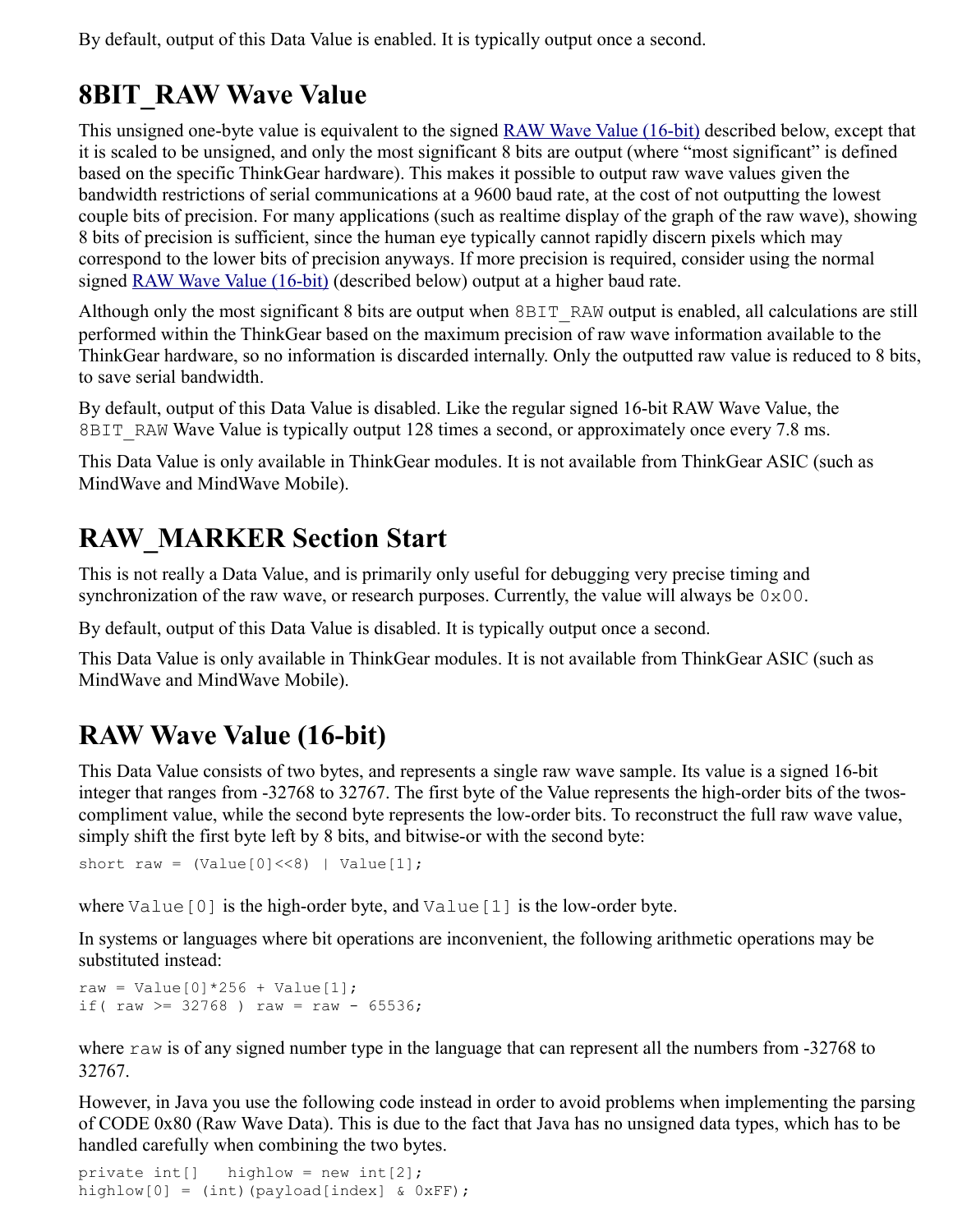By default, output of this Data Value is enabled. It is typically output once a second.

## **8BIT\_RAW Wave Value**

This unsigned one-byte value is equivalent to the signed [RAW Wave Value \(16-bit\)](http://developer.neurosky.com/docs/doku.php?id=thinkgear_communications_protocol#raw_wave_value_16-bit) described below, except that it is scaled to be unsigned, and only the most significant 8 bits are output (where "most significant" is defined based on the specific ThinkGear hardware). This makes it possible to output raw wave values given the bandwidth restrictions of serial communications at a 9600 baud rate, at the cost of not outputting the lowest couple bits of precision. For many applications (such as realtime display of the graph of the raw wave), showing 8 bits of precision is sufficient, since the human eye typically cannot rapidly discern pixels which may correspond to the lower bits of precision anyways. If more precision is required, consider using the normal signed [RAW Wave Value \(16-bit\)](http://developer.neurosky.com/docs/doku.php?id=thinkgear_communications_protocol#raw_wave_value_16-bit) (described below) output at a higher baud rate.

Although only the most significant 8 bits are output when 8BIT\_RAW output is enabled, all calculations are still performed within the ThinkGear based on the maximum precision of raw wave information available to the ThinkGear hardware, so no information is discarded internally. Only the outputted raw value is reduced to 8 bits, to save serial bandwidth.

By default, output of this Data Value is disabled. Like the regular signed 16-bit RAW Wave Value, the 8BIT RAW Wave Value is typically output 128 times a second, or approximately once every 7.8 ms.

This Data Value is only available in ThinkGear modules. It is not available from ThinkGear ASIC (such as MindWave and MindWave Mobile).

## **RAW\_MARKER Section Start**

This is not really a Data Value, and is primarily only useful for debugging very precise timing and synchronization of the raw wave, or research purposes. Currently, the value will always be  $0 \times 00$ .

By default, output of this Data Value is disabled. It is typically output once a second.

This Data Value is only available in ThinkGear modules. It is not available from ThinkGear ASIC (such as MindWave and MindWave Mobile).

## **RAW Wave Value (16-bit)**

This Data Value consists of two bytes, and represents a single raw wave sample. Its value is a signed 16-bit integer that ranges from -32768 to 32767. The first byte of the Value represents the high-order bits of the twoscompliment value, while the second byte represents the low-order bits. To reconstruct the full raw wave value, simply shift the first byte left by 8 bits, and bitwise-or with the second byte:

```
short raw = (Value[0] \le 8) | Value[1];
```
where  $Value[0]$  is the high-order byte, and  $Value[1]$  is the low-order byte.

In systems or languages where bit operations are inconvenient, the following arithmetic operations may be substituted instead:

```
raw = Value[0] * 256 + Value[1];
if( raw >= 32768 ) raw = raw - 65536;
```
where raw is of any signed number type in the language that can represent all the numbers from -32768 to 32767.

However, in Java you use the following code instead in order to avoid problems when implementing the parsing of CODE 0x80 (Raw Wave Data). This is due to the fact that Java has no unsigned data types, which has to be handled carefully when combining the two bytes.

```
private int[] highlow = new int[2];
highlow[0] = (int) (payload[index] & 0xFF);
```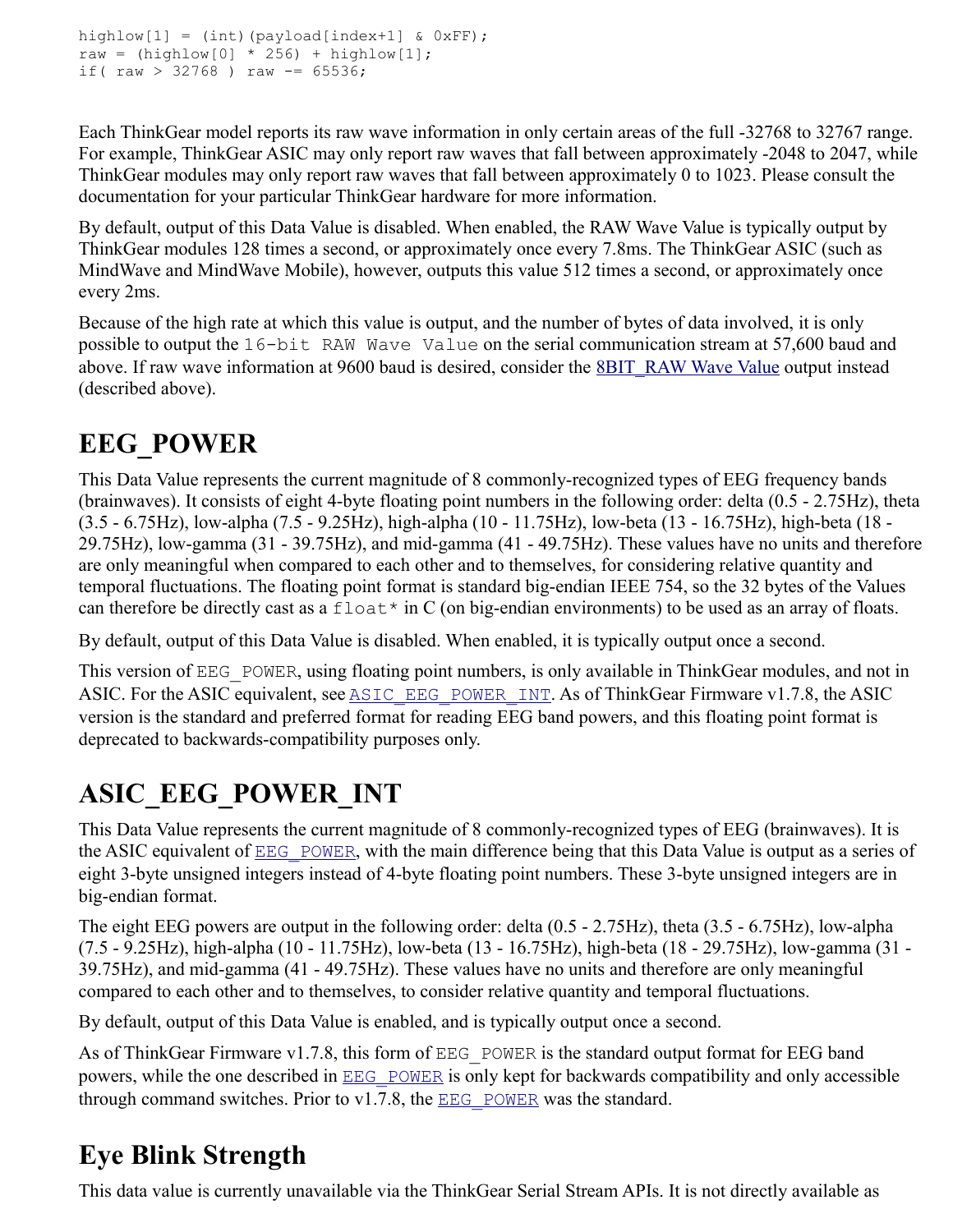```
highlow[1] = (int)(payload[index+1] & 0xFF);
raw = (highlow[0] * 256) + highlow[1];if( raw > 32768 ) raw -= 65536;
```
Each ThinkGear model reports its raw wave information in only certain areas of the full -32768 to 32767 range. For example, ThinkGear ASIC may only report raw waves that fall between approximately -2048 to 2047, while ThinkGear modules may only report raw waves that fall between approximately 0 to 1023. Please consult the documentation for your particular ThinkGear hardware for more information.

By default, output of this Data Value is disabled. When enabled, the RAW Wave Value is typically output by ThinkGear modules 128 times a second, or approximately once every 7.8ms. The ThinkGear ASIC (such as MindWave and MindWave Mobile), however, outputs this value 512 times a second, or approximately once every 2ms.

Because of the high rate at which this value is output, and the number of bytes of data involved, it is only possible to output the 16-bit RAW Wave Value on the serial communication stream at 57,600 baud and above. If raw wave information at 9600 baud is desired, consider the **8BIT\_RAW Wave Value** output instead (described above).

## **EEG\_POWER**

This Data Value represents the current magnitude of 8 commonly-recognized types of EEG frequency bands (brainwaves). It consists of eight 4-byte floating point numbers in the following order: delta (0.5 - 2.75Hz), theta (3.5 - 6.75Hz), low-alpha (7.5 - 9.25Hz), high-alpha (10 - 11.75Hz), low-beta (13 - 16.75Hz), high-beta (18 - 29.75Hz), low-gamma (31 - 39.75Hz), and mid-gamma (41 - 49.75Hz). These values have no units and therefore are only meaningful when compared to each other and to themselves, for considering relative quantity and temporal fluctuations. The floating point format is standard big-endian IEEE 754, so the 32 bytes of the Values can therefore be directly cast as a  $f$ loat\* in C (on big-endian environments) to be used as an array of floats.

By default, output of this Data Value is disabled. When enabled, it is typically output once a second.

This version of EEG POWER, using floating point numbers, is only available in ThinkGear modules, and not in ASIC. For the ASIC equivalent, see ASIC EEG POWER INT. As of ThinkGear Firmware v1.7.8, the ASIC version is the standard and preferred format for reading EEG band powers, and this floating point format is deprecated to backwards-compatibility purposes only.

## **ASIC\_EEG\_POWER\_INT**

This Data Value represents the current magnitude of 8 commonly-recognized types of EEG (brainwaves). It is the ASIC equivalent of **EEG** POWER, with the main difference being that this Data Value is output as a series of eight 3-byte unsigned integers instead of 4-byte floating point numbers. These 3-byte unsigned integers are in big-endian format.

The eight EEG powers are output in the following order: delta (0.5 - 2.75Hz), theta (3.5 - 6.75Hz), low-alpha (7.5 - 9.25Hz), high-alpha (10 - 11.75Hz), low-beta (13 - 16.75Hz), high-beta (18 - 29.75Hz), low-gamma (31 - 39.75Hz), and mid-gamma (41 - 49.75Hz). These values have no units and therefore are only meaningful compared to each other and to themselves, to consider relative quantity and temporal fluctuations.

By default, output of this Data Value is enabled, and is typically output once a second.

As of ThinkGear Firmware v1.7.8, this form of EEG POWER is the standard output format for EEG band powers, while the one described in **[EEG\\_POWER](http://developer.neurosky.com/docs/doku.php?id=thinkgear_communications_protocol#eeg_power)** is only kept for backwards compatibility and only accessible through command switches. Prior to  $v1.7.8$ , the EEG POWER was the standard.

## **Eye Blink Strength**

This data value is currently unavailable via the ThinkGear Serial Stream APIs. It is not directly available as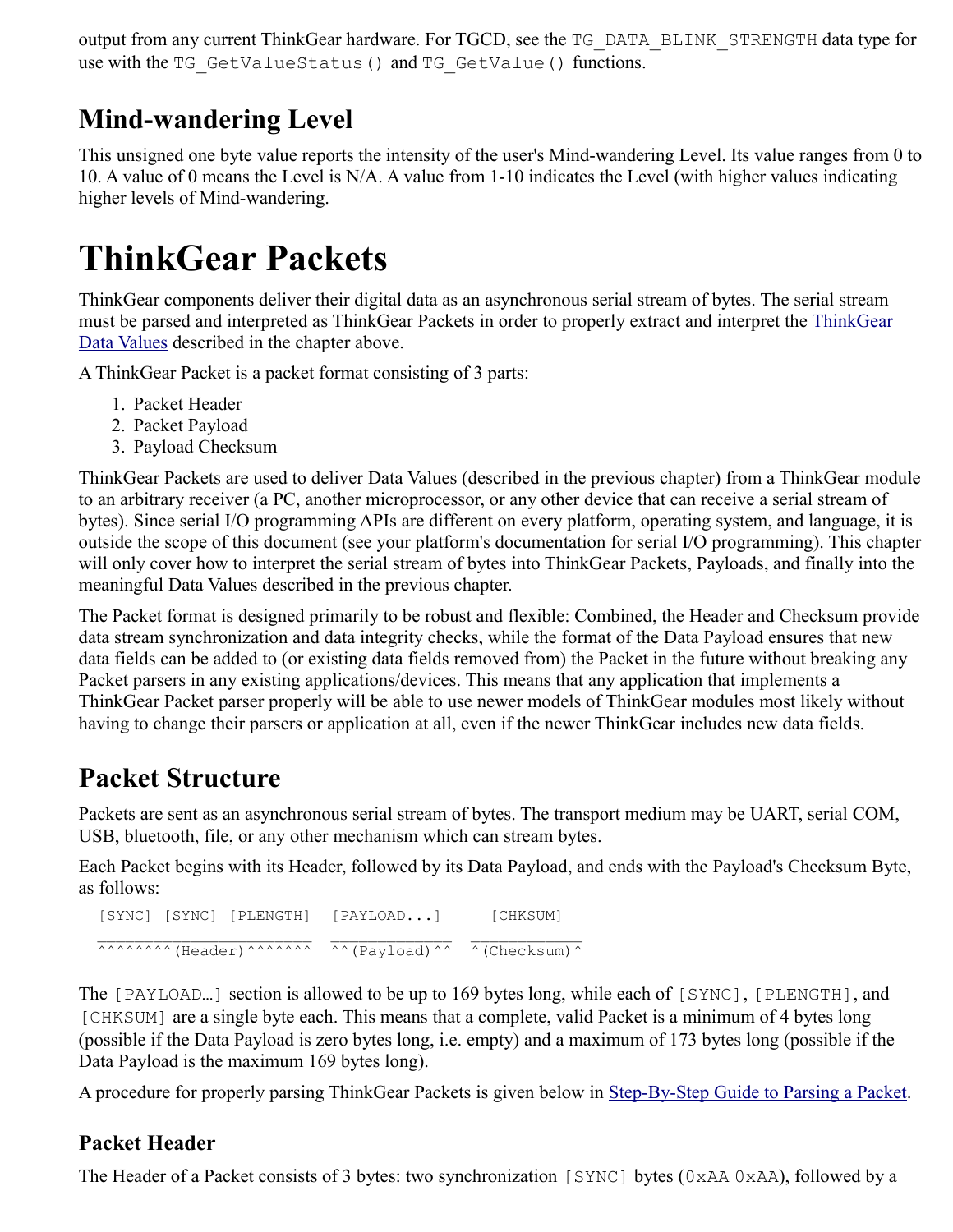output from any current ThinkGear hardware. For TGCD, see the TG\_DATA\_BLINK\_STRENGTH data type for use with the TG GetValueStatus() and TG GetValue() functions.

### **Mind-wandering Level**

This unsigned one byte value reports the intensity of the user's Mind-wandering Level. Its value ranges from 0 to 10. A value of 0 means the Level is N/A. A value from 1-10 indicates the Level (with higher values indicating higher levels of Mind-wandering.

# **ThinkGear Packets**

ThinkGear components deliver their digital data as an asynchronous serial stream of bytes. The serial stream must be parsed and interpreted as ThinkGear Packets in order to properly extract and interpret the [ThinkGear](http://developer.neurosky.com/docs/doku.php?id=thinkgear_communications_protocol#thinkgear_data_values)  [Data Values](http://developer.neurosky.com/docs/doku.php?id=thinkgear_communications_protocol#thinkgear_data_values) described in the chapter above.

A ThinkGear Packet is a packet format consisting of 3 parts:

- 1. Packet Header
- 2. Packet Payload
- 3. Payload Checksum

ThinkGear Packets are used to deliver Data Values (described in the previous chapter) from a ThinkGear module to an arbitrary receiver (a PC, another microprocessor, or any other device that can receive a serial stream of bytes). Since serial I/O programming APIs are different on every platform, operating system, and language, it is outside the scope of this document (see your platform's documentation for serial I/O programming). This chapter will only cover how to interpret the serial stream of bytes into ThinkGear Packets, Payloads, and finally into the meaningful Data Values described in the previous chapter.

The Packet format is designed primarily to be robust and flexible: Combined, the Header and Checksum provide data stream synchronization and data integrity checks, while the format of the Data Payload ensures that new data fields can be added to (or existing data fields removed from) the Packet in the future without breaking any Packet parsers in any existing applications/devices. This means that any application that implements a ThinkGear Packet parser properly will be able to use newer models of ThinkGear modules most likely without having to change their parsers or application at all, even if the newer ThinkGear includes new data fields.

## **Packet Structure**

Packets are sent as an asynchronous serial stream of bytes. The transport medium may be UART, serial COM, USB, bluetooth, file, or any other mechanism which can stream bytes.

Each Packet begins with its Header, followed by its Data Payload, and ends with the Payload's Checksum Byte, as follows:

 [SYNC] [SYNC] [PLENGTH] [PAYLOAD...] [CHKSUM]  $\frac{1}{2}$  ,  $\frac{1}{2}$  ,  $\frac{1}{2}$  ,  $\frac{1}{2}$  ,  $\frac{1}{2}$  ,  $\frac{1}{2}$  ,  $\frac{1}{2}$  ,  $\frac{1}{2}$  ,  $\frac{1}{2}$  ,  $\frac{1}{2}$  ,  $\frac{1}{2}$  ,  $\frac{1}{2}$  ,  $\frac{1}{2}$  ,  $\frac{1}{2}$  ,  $\frac{1}{2}$  ,  $\frac{1}{2}$  ,  $\frac{1}{2}$  ,  $\frac{1}{2}$  ,  $\frac{1$ ^^^^^^^^^^ (Header)^^^^^^^^ ^^ (Payload)^^  $\hbar$  (Checksum)^

The [PAYLOAD…] section is allowed to be up to 169 bytes long, while each of [SYNC], [PLENGTH], and [CHKSUM] are a single byte each. This means that a complete, valid Packet is a minimum of 4 bytes long (possible if the Data Payload is zero bytes long, i.e. empty) and a maximum of 173 bytes long (possible if the Data Payload is the maximum 169 bytes long).

A procedure for properly parsing ThinkGear Packets is given below in [Step-By-Step Guide to Parsing a Packet.](http://developer.neurosky.com/docs/doku.php?id=thinkgear_communications_protocol#step-by-step_guide_to_parsing_a_packet)

#### **Packet Header**

The Header of a Packet consists of 3 bytes: two synchronization [SYNC] bytes (0xAA 0xAA), followed by a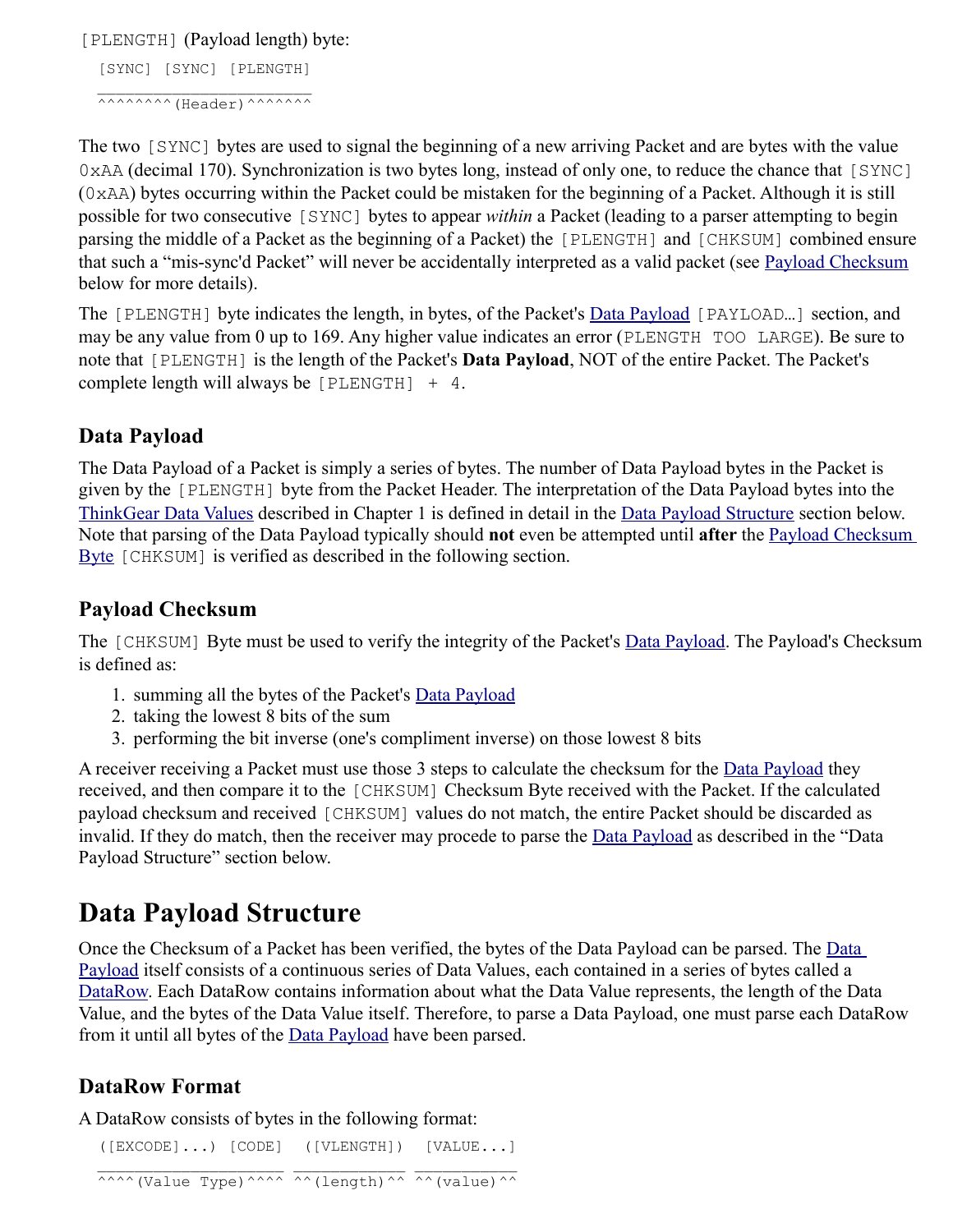[PLENGTH] (Payload length) byte:

 [SYNC] [SYNC] [PLENGTH]  $\mathcal{L}=\frac{1}{2}$  , where  $\mathcal{L}=\frac{1}{2}$  , where  $\mathcal{L}=\frac{1}{2}$  , where  $\mathcal{L}=\frac{1}{2}$  $\land\land\land\land\land\land\land$  (Header)  $\land\land\land\land\land\land$ 

The two [SYNC] bytes are used to signal the beginning of a new arriving Packet and are bytes with the value 0xAA (decimal 170). Synchronization is two bytes long, instead of only one, to reduce the chance that [SYNC] (0xAA) bytes occurring within the Packet could be mistaken for the beginning of a Packet. Although it is still possible for two consecutive [SYNC] bytes to appear *within* a Packet (leading to a parser attempting to begin parsing the middle of a Packet as the beginning of a Packet) the [PLENGTH] and [CHKSUM] combined ensure that such a "mis-sync'd Packet" will never be accidentally interpreted as a valid packet (see [Payload Checksum](http://developer.neurosky.com/docs/doku.php?id=thinkgear_communications_protocol#payload_checksum) below for more details).

The [PLENGTH] byte indicates the length, in bytes, of the Packet's [Data Payload](http://developer.neurosky.com/docs/doku.php?id=thinkgear_communications_protocol#data_payload) [PAYLOAD…] section, and may be any value from 0 up to 169. Any higher value indicates an error (PLENGTH TOO LARGE). Be sure to note that [PLENGTH] is the length of the Packet's **Data Payload**, NOT of the entire Packet. The Packet's complete length will always be [PLENGTH] + 4.

#### **Data Payload**

The Data Payload of a Packet is simply a series of bytes. The number of Data Payload bytes in the Packet is given by the [PLENGTH] byte from the Packet Header. The interpretation of the Data Payload bytes into the [ThinkGear Data Values](http://developer.neurosky.com/docs/doku.php?id=thinkgear_communications_protocol#thinkgear_data_values) described in Chapter 1 is defined in detail in the [Data Payload Structure](http://developer.neurosky.com/docs/doku.php?id=thinkgear_communications_protocol#data_payload_structure) section below. Note that parsing of the Data Payload typically should **not** even be attempted until **after** the [Payload Checksum](http://developer.neurosky.com/docs/doku.php?id=thinkgear_communications_protocol#payload_checksum_byte)  [Byte](http://developer.neurosky.com/docs/doku.php?id=thinkgear_communications_protocol#payload_checksum_byte) [CHKSUM] is verified as described in the following section.

#### **Payload Checksum**

The [CHKSUM] Byte must be used to verify the integrity of the Packet's [Data Payload.](http://developer.neurosky.com/docs/doku.php?id=thinkgear_communications_protocol#data_payload) The Payload's Checksum is defined as:

- 1. summing all the bytes of the Packet's [Data Payload](http://developer.neurosky.com/docs/doku.php?id=thinkgear_communications_protocol#data_payload)
- 2. taking the lowest 8 bits of the sum
- 3. performing the bit inverse (one's compliment inverse) on those lowest 8 bits

A receiver receiving a Packet must use those 3 steps to calculate the checksum for the [Data Payload](http://developer.neurosky.com/docs/doku.php?id=thinkgear_communications_protocol#data_payload) they received, and then compare it to the [CHKSUM] Checksum Byte received with the Packet. If the calculated payload checksum and received [CHKSUM] values do not match, the entire Packet should be discarded as invalid. If they do match, then the receiver may procede to parse the [Data Payload](http://developer.neurosky.com/docs/doku.php?id=thinkgear_communications_protocol#data_payload) as described in the "Data Payload Structure" section below.

### **Data Payload Structure**

Once the Checksum of a Packet has been verified, the bytes of the [Data](http://developer.neurosky.com/docs/doku.php?id=thinkgear_communications_protocol#data_payload) Payload can be parsed. The Data [Payload](http://developer.neurosky.com/docs/doku.php?id=thinkgear_communications_protocol#data_payload) itself consists of a continuous series of Data Values, each contained in a series of bytes called a [DataRow.](http://developer.neurosky.com/docs/doku.php?id=thinkgear_communications_protocol#datarow_format) Each DataRow contains information about what the Data Value represents, the length of the Data Value, and the bytes of the Data Value itself. Therefore, to parse a Data Payload, one must parse each DataRow from it until all bytes of the **Data Payload** have been parsed.

#### **DataRow Format**

A DataRow consists of bytes in the following format:

([EXCODE]...) [CODE] ([VLENGTH]) [VALUE...]

^^^^ (Value Type)^^^^ ^^ (length)^^ ^^ (value)^^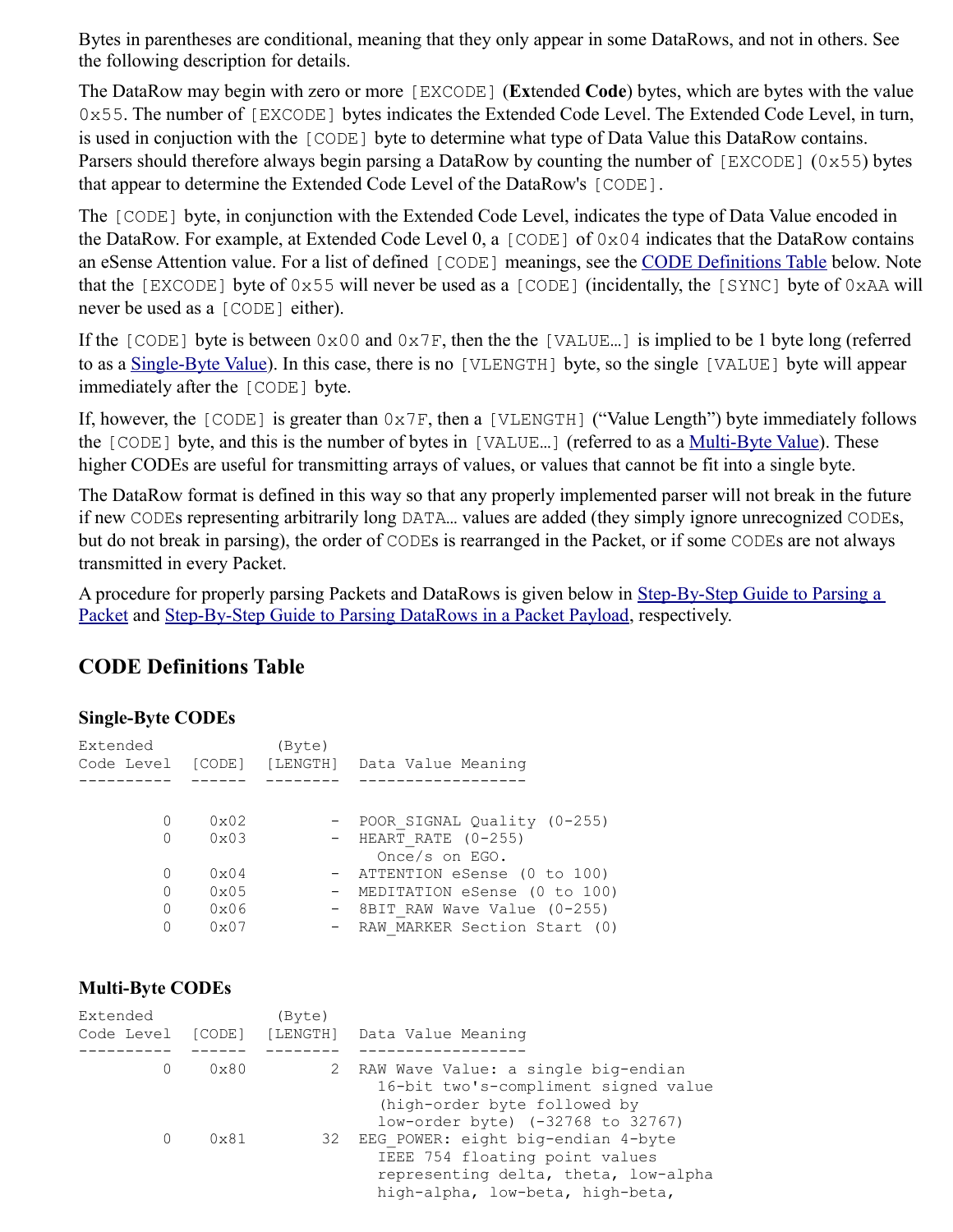Bytes in parentheses are conditional, meaning that they only appear in some DataRows, and not in others. See the following description for details.

The DataRow may begin with zero or more [EXCODE] (**Ex**tended **Code**) bytes, which are bytes with the value 0x55. The number of [EXCODE] bytes indicates the Extended Code Level. The Extended Code Level, in turn, is used in conjuction with the [CODE] byte to determine what type of Data Value this DataRow contains. Parsers should therefore always begin parsing a DataRow by counting the number of [EXCODE] (0x55) bytes that appear to determine the Extended Code Level of the DataRow's [CODE].

The [CODE] byte, in conjunction with the Extended Code Level, indicates the type of Data Value encoded in the DataRow. For example, at Extended Code Level 0, a [CODE] of 0x04 indicates that the DataRow contains an eSense Attention value. For a list of defined [CODE] meanings, see the [CODE Definitions Table](http://developer.neurosky.com/docs/doku.php?id=thinkgear_communications_protocol#code_definitions_table) below. Note that the [EXCODE] byte of 0x55 will never be used as a [CODE] (incidentally, the [SYNC] byte of 0xAA will never be used as a [CODE] either).

If the [CODE] byte is between  $0 \times 00$  and  $0 \times 7F$ , then the the [VALUE...] is implied to be 1 byte long (referred to as a [Single-Byte Value\)](http://developer.neurosky.com/docs/doku.php?id=thinkgear_communications_protocol#single-byte_codes). In this case, there is no [VLENGTH] byte, so the single [VALUE] byte will appear immediately after the [CODE] byte.

If, however, the [CODE] is greater than 0x7F, then a [VLENGTH] ("Value Length") byte immediately follows the [CODE] byte, and this is the number of bytes in [VALUE…] (referred to as a [Multi-Byte Value\)](http://developer.neurosky.com/docs/doku.php?id=thinkgear_communications_protocol#multi-byte_codes). These higher CODEs are useful for transmitting arrays of values, or values that cannot be fit into a single byte.

The DataRow format is defined in this way so that any properly implemented parser will not break in the future if new CODEs representing arbitrarily long DATA… values are added (they simply ignore unrecognized CODEs, but do not break in parsing), the order of CODEs is rearranged in the Packet, or if some CODEs are not always transmitted in every Packet.

A procedure for properly parsing Packets and DataRows is given below in [Step-By-Step Guide to Parsing a](http://developer.neurosky.com/docs/doku.php?id=thinkgear_communications_protocol#step-by-step_guide_to_parsing_a_packet)  [Packet](http://developer.neurosky.com/docs/doku.php?id=thinkgear_communications_protocol#step-by-step_guide_to_parsing_a_packet) and [Step-By-Step Guide to Parsing DataRows in a Packet Payload,](http://developer.neurosky.com/docs/doku.php?id=thinkgear_communications_protocol#step-by-step_guide_to_parsing_datarows_in_a_packet_payload) respectively.

#### **CODE Definitions Table**

#### **Single-Byte CODEs**

| Extended          |                | (Byte)   |                                |
|-------------------|----------------|----------|--------------------------------|
| Code Level [CODE] |                | [LENGTH] | Data Value Meaning             |
|                   |                |          |                                |
|                   |                |          |                                |
| 0                 | $0 \times 02$  |          | - POOR SIGNAL Quality (0-255)  |
| 0                 | $0 \times 03$  |          | $-$ HEART RATE (0-255)         |
|                   |                |          | Once/s on EGO.                 |
| O                 | $0 \times 04$  |          | - ATTENTION eSense (0 to 100)  |
| $\Omega$          | $0 \times 0.5$ |          | - MEDITATION eSense (0 to 100) |
| $\Omega$          | $0 \times 06$  |          | - 8BIT RAW Wave Value (0-255)  |
| O                 | 0x07           |          | - RAW MARKER Section Start (0) |

#### **Multi-Byte CODEs**

| Extended<br>Code Level [CODE] |               | (Byte)<br>[LENGTH] | Data Value Meaning                                                                                                                               |
|-------------------------------|---------------|--------------------|--------------------------------------------------------------------------------------------------------------------------------------------------|
|                               | $0 \times 80$ | 2                  | RAW Wave Value: a single big-endian<br>16-bit two's-compliment signed value<br>(high-order byte followed by<br>low-order byte) (-32768 to 32767) |
| $\Omega$                      | $0 \times 81$ | 32                 | EEG POWER: eight big-endian 4-byte<br>IEEE 754 floating point values<br>representing delta, theta, low-alpha<br>high-alpha, low-beta, high-beta, |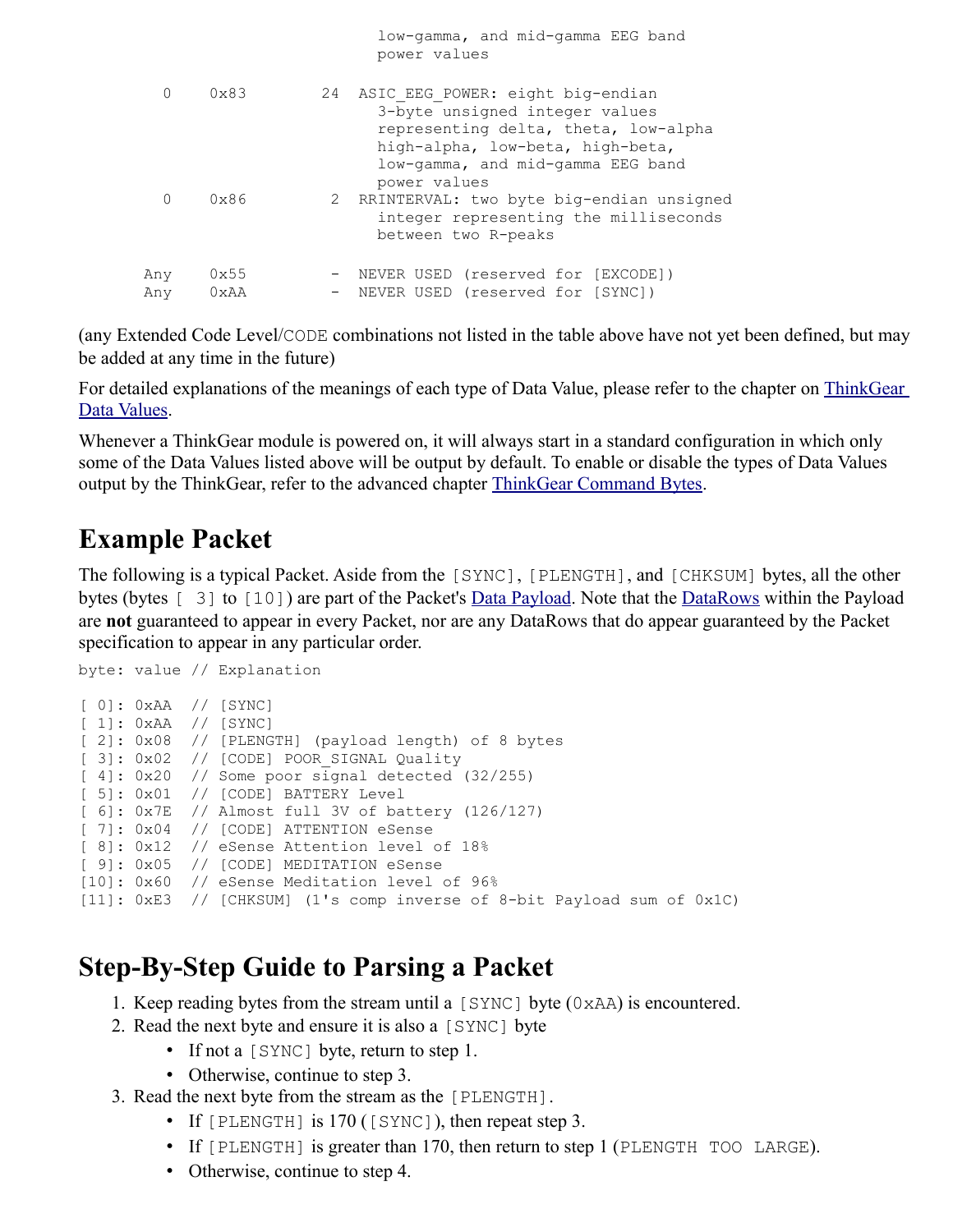|            |                       |    | low-gamma, and mid-gamma EEG band<br>power values                                                                                                                                                   |
|------------|-----------------------|----|-----------------------------------------------------------------------------------------------------------------------------------------------------------------------------------------------------|
| 0          | $0 \times 83$         | 24 | ASIC EEG POWER: eight big-endian<br>3-byte unsigned integer values<br>representing delta, theta, low-alpha<br>high-alpha, low-beta, high-beta,<br>low-gamma, and mid-gamma EEG band<br>power values |
| $\Omega$   | $0 \times 86$         |    | 2 RRINTERVAL: two byte big-endian unsigned<br>integer representing the milliseconds<br>between two R-peaks                                                                                          |
| Any<br>Any | 0x55<br>$0 \times AA$ |    | NEVER USED (reserved for [EXCODE])<br>NEVER USED (reserved for [SYNC])                                                                                                                              |
|            |                       |    |                                                                                                                                                                                                     |

(any Extended Code Level/CODE combinations not listed in the table above have not yet been defined, but may be added at any time in the future)

For detailed explanations of the meanings of each type of Data Value, please refer to the chapter on [ThinkGear](http://developer.neurosky.com/docs/doku.php?id=thinkgear_communications_protocol#thinkgear_data_values)  [Data Values.](http://developer.neurosky.com/docs/doku.php?id=thinkgear_communications_protocol#thinkgear_data_values)

Whenever a ThinkGear module is powered on, it will always start in a standard configuration in which only some of the Data Values listed above will be output by default. To enable or disable the types of Data Values output by the ThinkGear, refer to the advanced chapter [ThinkGear Command Bytes.](http://developer.neurosky.com/docs/doku.php?id=thinkgear_communications_protocol#thinkgear_command_bytes)

### **Example Packet**

The following is a typical Packet. Aside from the [SYNC], [PLENGTH], and [CHKSUM] bytes, all the other bytes (bytes [ 3] to [10]) are part of the Packet's [Data Payload.](http://developer.neurosky.com/docs/doku.php?id=thinkgear_communications_protocol#data_payload) Note that the [DataRows](http://developer.neurosky.com/docs/doku.php?id=thinkgear_communications_protocol#datarow_format) within the Payload are **not** guaranteed to appear in every Packet, nor are any DataRows that do appear guaranteed by the Packet specification to appear in any particular order.

```
byte: value // Explanation
[ 0]: 0xAA // [SYNC]
[ 1]: 0xAA // [SYNC]
[ 2]: 0x08 // [PLENGTH] (payload length) of 8 bytes
[ 3]: 0x02 // [CODE] POOR SIGNAL Quality
[4]: 0x20 // Some poor signal detected (32/255)
[ 5]: 0x01 // [CODE] BATTERY Level
[ 6]: 0x7E // Almost full 3V of battery (126/127)
[ 7]: 0x04 // [CODE] ATTENTION eSense
[ 8]: 0x12 // eSense Attention level of 18%
[ 9]: 0x05 // [CODE] MEDITATION eSense
[10]: 0x60 // eSense Meditation level of 96%
[11]: 0xE3 // [CHKSUM] (1's comp inverse of 8-bit Payload sum of 0x1C)
```
### **Step-By-Step Guide to Parsing a Packet**

- 1. Keep reading bytes from the stream until a  $[SYNC]$  byte  $(0xAA)$  is encountered.
- 2. Read the next byte and ensure it is also a [SYNC] byte
	- If not a [SYNC] byte, return to step 1.
	- Otherwise, continue to step 3.
- 3. Read the next byte from the stream as the [PLENGTH].
	- If [PLENGTH] is 170 ([SYNC]), then repeat step 3.
	- If  $[PLENGTH]$  is greater than 170, then return to step 1 (PLENGTH TOO LARGE).
	- Otherwise, continue to step 4.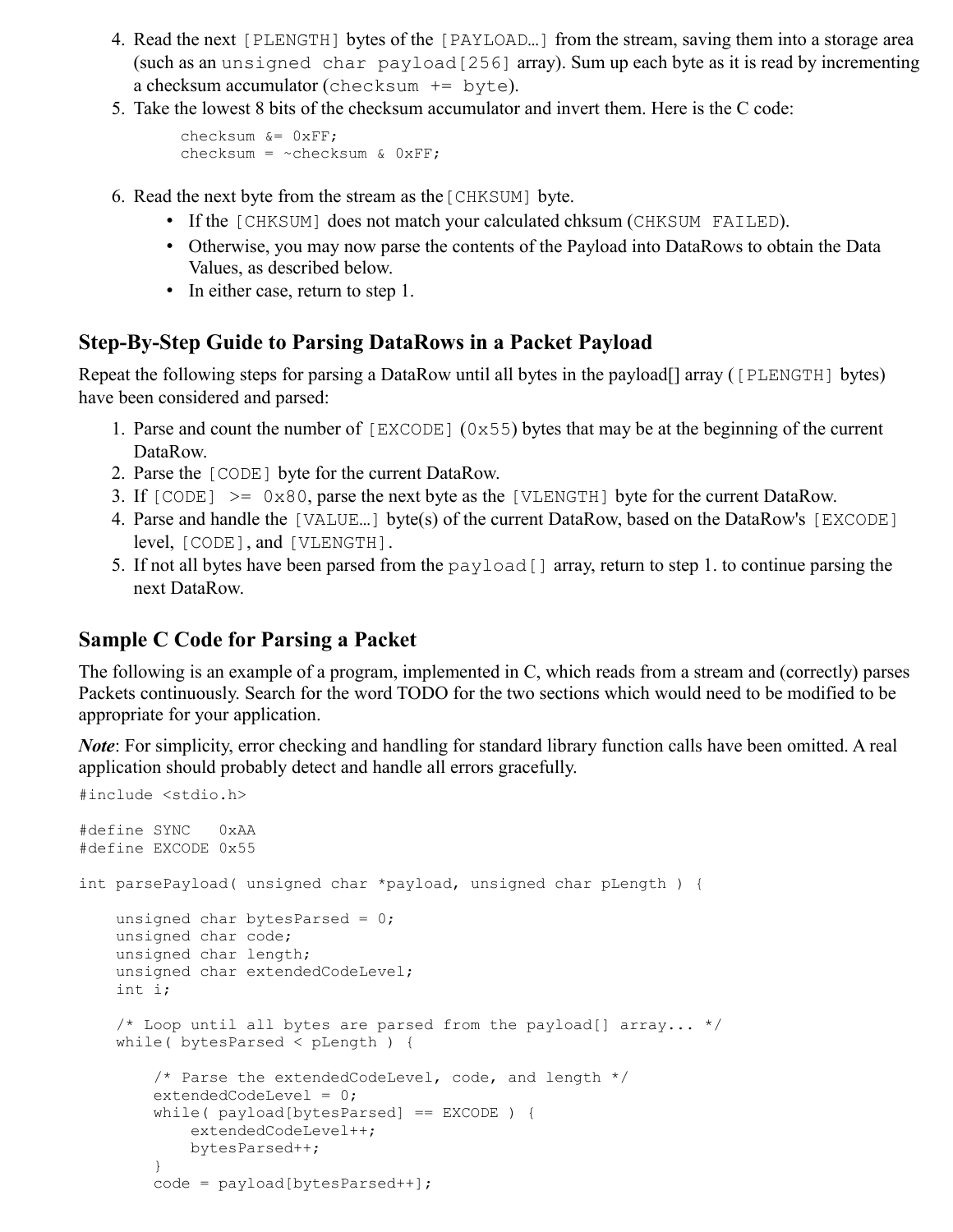- 4. Read the next [PLENGTH] bytes of the [PAYLOAD…] from the stream, saving them into a storage area (such as an unsigned char payload  $[256]$  array). Sum up each byte as it is read by incrementing a checksum accumulator (checksum  $+=$  byte).
- 5. Take the lowest 8 bits of the checksum accumulator and invert them. Here is the C code:

```
 checksum &= 0xFF;
checksum = ~checksum & 0xFF;
```
- 6. Read the next byte from the stream as the[CHKSUM] byte.
	- If the [CHKSUM] does not match your calculated chksum (CHKSUM FAILED).
	- Otherwise, you may now parse the contents of the Payload into DataRows to obtain the Data Values, as described below.
	- In either case, return to step 1.

#### **Step-By-Step Guide to Parsing DataRows in a Packet Payload**

Repeat the following steps for parsing a DataRow until all bytes in the payload<sup>[]</sup> array ([PLENGTH] bytes) have been considered and parsed:

- 1. Parse and count the number of  $[EXCODE]$  (0x55) bytes that may be at the beginning of the current DataRow.
- 2. Parse the [CODE] byte for the current DataRow.
- 3. If  $[CODE] \ge 0x80$ , parse the next byte as the  $[VIEWGTH]$  byte for the current DataRow.
- 4. Parse and handle the [VALUE…] byte(s) of the current DataRow, based on the DataRow's [EXCODE] level, [CODE], and [VLENGTH].
- 5. If not all bytes have been parsed from the payload  $\lceil \cdot \rceil$  array, return to step 1. to continue parsing the next DataRow.

#### **Sample C Code for Parsing a Packet**

The following is an example of a program, implemented in C, which reads from a stream and (correctly) parses Packets continuously. Search for the word TODO for the two sections which would need to be modified to be appropriate for your application.

*Note*: For simplicity, error checking and handling for standard library function calls have been omitted. A real application should probably detect and handle all errors gracefully.

```
#include <stdio.h>
#define SYNC 0xAA
#define EXCODE 0x55
int parsePayload( unsigned char *payload, unsigned char pLength ) {
   unsigned char bytesParsed = 0;
    unsigned char code;
    unsigned char length;
    unsigned char extendedCodeLevel;
    int i;
    /* Loop until all bytes are parsed from the payload[] array... */
    while( bytesParsed < pLength ) {
         /* Parse the extendedCodeLevel, code, and length */
         extendedCodeLevel = 0;
         while( payload[bytesParsed] == EXCODE ) {
            extendedCodeLevel++;
            bytesParsed++;
 }
         code = payload[bytesParsed++];
```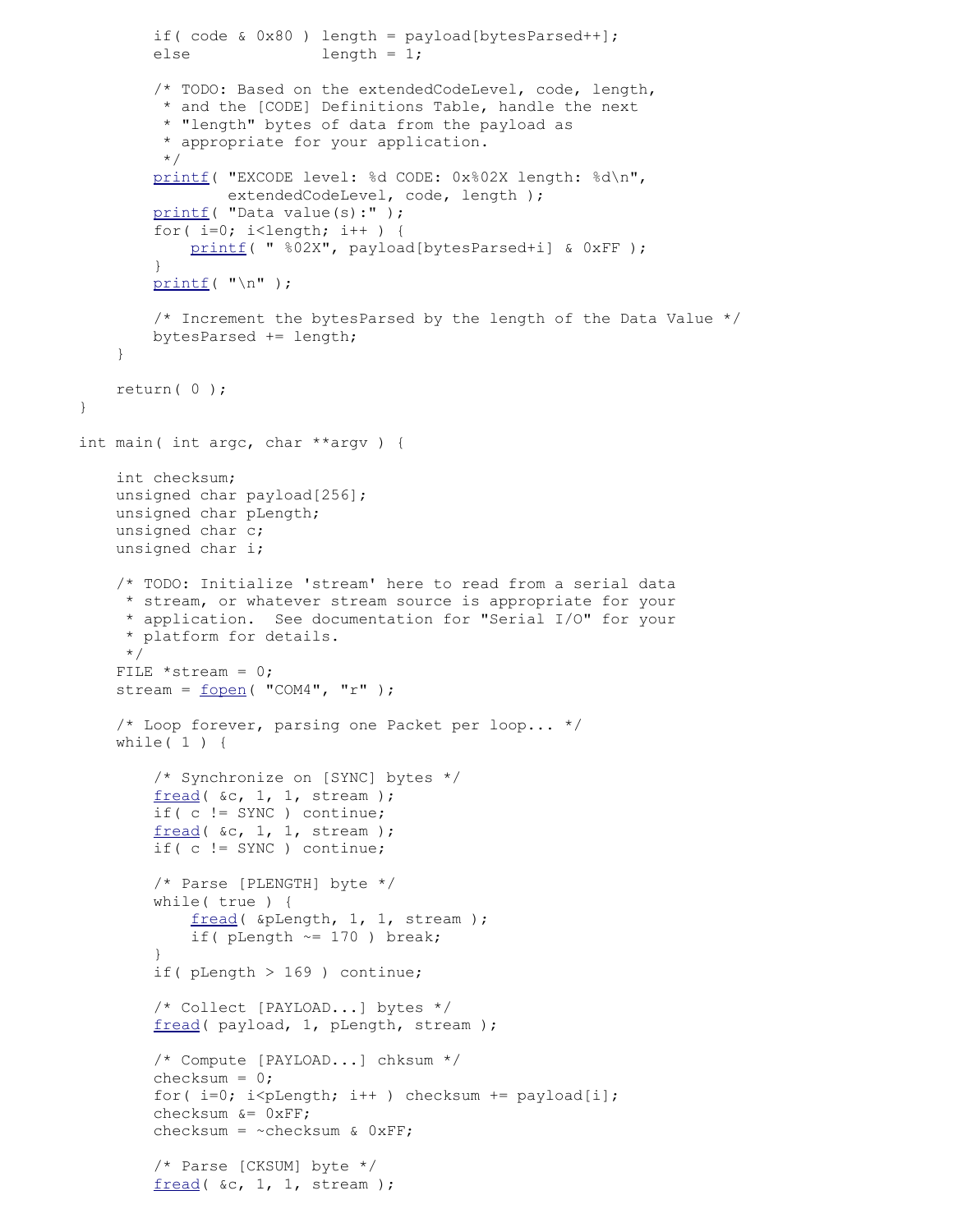```
if( code \& 0x80 ) length = payload[bytesParsedt+];
        else length = 1;
         /* TODO: Based on the extendedCodeLevel, code, length,
          * and the [CODE] Definitions Table, handle the next
          * "length" bytes of data from the payload as
          * appropriate for your application.
          */
         printf( "EXCODE level: %d CODE: 0x%02X length: %d\n",
                extendedCodeLevel, code, length ) ;
        printf ( "Data value(s):" );
         for( i=0; i<length; i++ ) {
            printf( " %02X", payload[bytesParsed+i] & 0xFF );
 }
        print(f ( " \n'') ; /* Increment the bytesParsed by the length of the Data Value */
         bytesParsed += length;
     }
    return( 0 );
}
int main( int argc, char **argv ) {
    int checksum;
    unsigned char payload[256];
    unsigned char pLength;
    unsigned char c;
    unsigned char i;
     /* TODO: Initialize 'stream' here to read from a serial data
      * stream, or whatever stream source is appropriate for your
      * application. See documentation for "Serial I/O" for your
      * platform for details.
      */
    FILE *stream = 0;
     fopen("COM4", "r");
     /* Loop forever, parsing one Packet per loop... */
    while( 1 ) {
         /* Synchronize on [SYNC] bytes */
        fread( &c, 1, 1, stream );
         if( c != SYNC ) continue;
         fread( &c, 1, 1, stream );
         if( c != SYNC ) continue;
         /* Parse [PLENGTH] byte */
         while( true ) {
             fread( &pLength, 1, 1, stream );
            if( pLength \sim= 170 ) break;
 }
         if( pLength > 169 ) continue;
         /* Collect [PAYLOAD...] bytes */
         fread( payload, 1, pLength, stream );
         /* Compute [PAYLOAD...] chksum */
         checksum = 0;
        for(i=0; i <plength; i++ ) checksum += payload[i];
        checksum &= 0xFF;checksum = ~\simchecksum & 0xFF;
         /* Parse [CKSUM] byte */
        fread( &c, 1, 1, stream );
```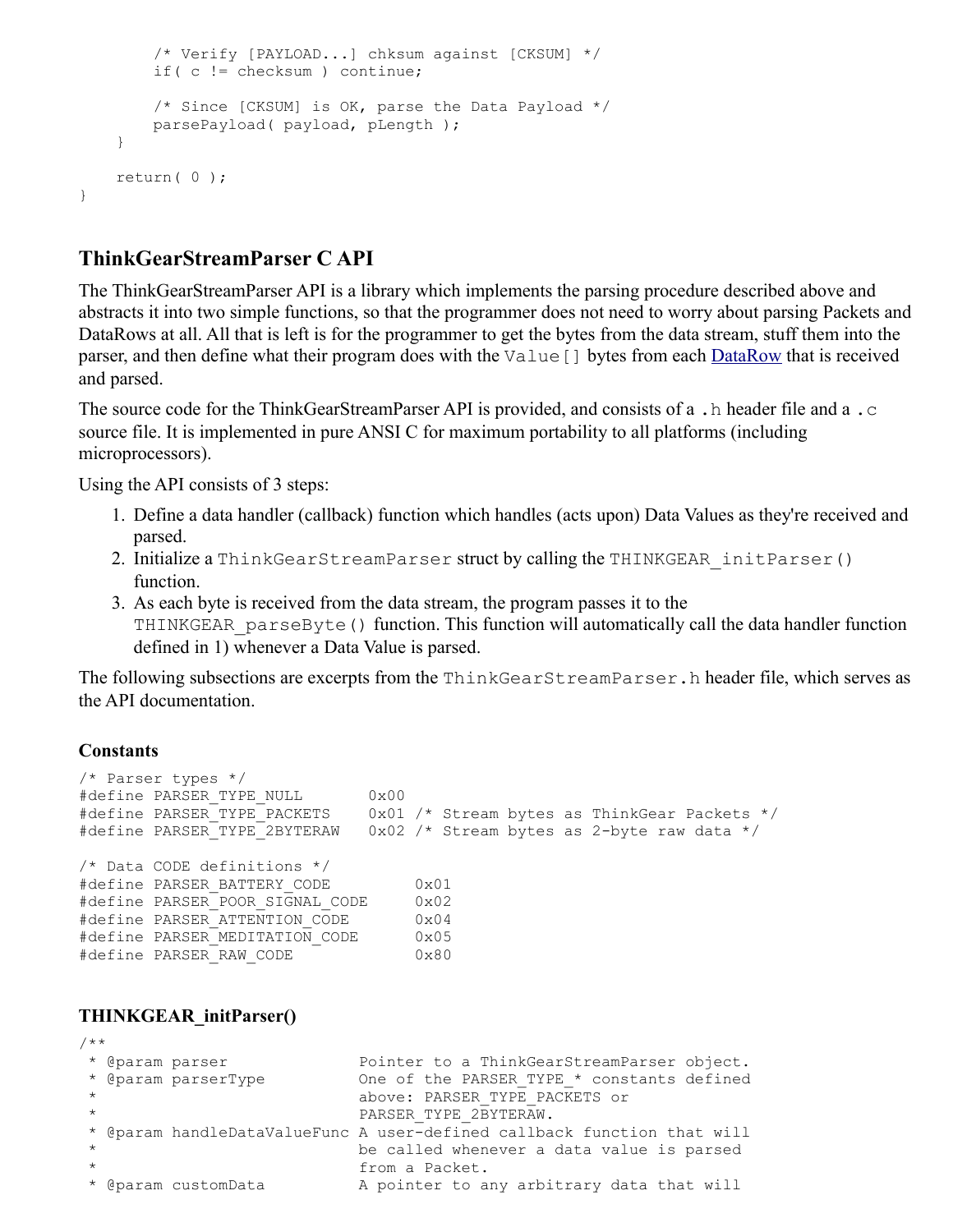```
 /* Verify [PAYLOAD...] chksum against [CKSUM] */
     if( c != checksum ) continue;
     /* Since [CKSUM] is OK, parse the Data Payload */
     parsePayload( payload, pLength );
 }
 return( 0 );
```
#### **ThinkGearStreamParser C API**

The ThinkGearStreamParser API is a library which implements the parsing procedure described above and abstracts it into two simple functions, so that the programmer does not need to worry about parsing Packets and DataRows at all. All that is left is for the programmer to get the bytes from the data stream, stuff them into the parser, and then define what their program does with the Value [] bytes from each **DataRow** that is received and parsed.

The source code for the ThinkGearStreamParser API is provided, and consists of a .h header file and a .c source file. It is implemented in pure ANSI C for maximum portability to all platforms (including microprocessors).

Using the API consists of 3 steps:

- 1. Define a data handler (callback) function which handles (acts upon) Data Values as they're received and parsed.
- 2. Initialize a ThinkGearStreamParser struct by calling the THINKGEAR\_initParser() function.
- 3. As each byte is received from the data stream, the program passes it to the THINKGEAR parseByte() function. This function will automatically call the data handler function defined in 1) whenever a Data Value is parsed.

The following subsections are excerpts from the ThinkGearStreamParser.h header file, which serves as the API documentation.

#### **Constants**

}

```
/* Parser types */
#define PARSER_TYPE_NULL 0x00
#define PARSER_TYPE_PACKETS 0x01 /* Stream bytes as ThinkGear Packets */
#define PARSER_TYPE_2BYTERAW 0x02 /* Stream bytes as 2-byte raw data */
/* Data CODE definitions */
#define PARSER_BATTERY_CODE 0x01
#define PARSER POOR SIGNAL CODE 0x02
#define PARSER_ATTENTION_CODE 0x04
#define PARSER MEDITATION CODE
#define PARSER_RAW_CODE 0x80
```
#### **THINKGEAR\_initParser()**

```
/**
 * @param parser Pointer to a ThinkGearStreamParser object.
* @param parserType 0ne of the PARSER TYPE * constants defined
                        above: PARSER TYPE PACKETS or
                        PARSER TYPE 2BYTERAW.
 * @param handleDataValueFunc A user-defined callback function that will
 * be called whenever a data value is parsed
                         from a Packet.
 * @param customData A pointer to any arbitrary data that will
```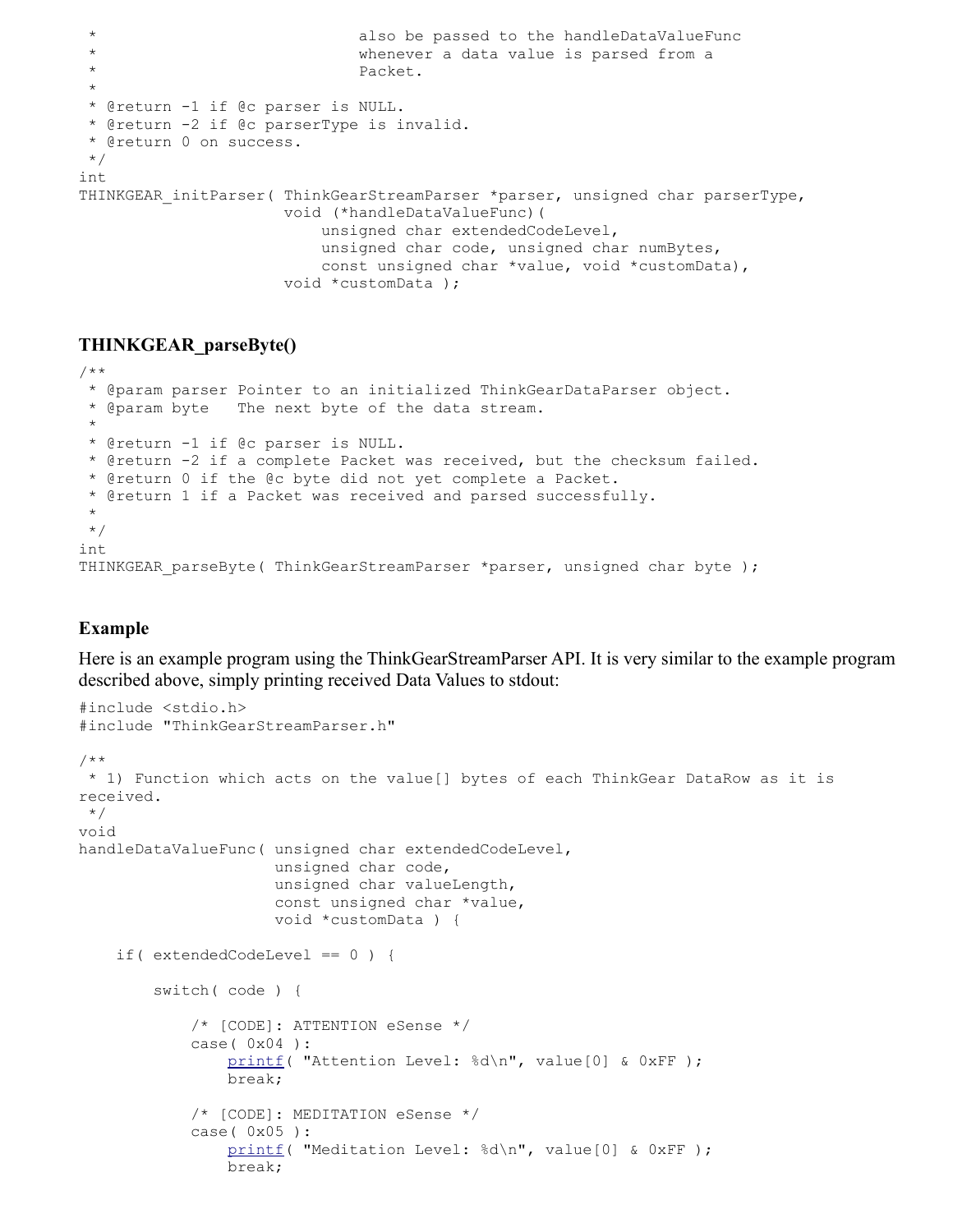```
 * also be passed to the handleDataValueFunc
                             whenever a data value is parsed from a
                              * Packet.
 *
 * @return -1 if @c parser is NULL.
 * @return -2 if @c parserType is invalid.
 * @return 0 on success.
 */
int
THINKGEAR initParser( ThinkGearStreamParser *parser, unsigned char parserType,
                      void (*handleDataValueFunc)(
                          unsigned char extendedCodeLevel,
                          unsigned char code, unsigned char numBytes,
                          const unsigned char *value, void *customData),
                      void *customData );
```
#### **THINKGEAR\_parseByte()**

```
/**
  * @param parser Pointer to an initialized ThinkGearDataParser object.
  * @param byte The next byte of the data stream.
 *
  * @return -1 if @c parser is NULL.
  * @return -2 if a complete Packet was received, but the checksum failed.
  * @return 0 if the @c byte did not yet complete a Packet.
  * @return 1 if a Packet was received and parsed successfully.
 *
  */
int
THINKGEAR parseByte( ThinkGearStreamParser *parser, unsigned char byte );
```
#### **Example**

Here is an example program using the ThinkGearStreamParser API. It is very similar to the example program described above, simply printing received Data Values to stdout:

```
#include <stdio.h>
#include "ThinkGearStreamParser.h"
/**
 * 1) Function which acts on the value[] bytes of each ThinkGear DataRow as it is 
received.
 */
void
handleDataValueFunc( unsigned char extendedCodeLevel,
                      unsigned char code,
                       unsigned char valueLength,
                       const unsigned char *value,
                       void *customData ) {
     if( extendedCodeLevel == 0 ) {
         switch( code ) {
             /* [CODE]: ATTENTION eSense */
             case( 0x04 ):
                printf( "Attention Level: %d\n", value[0] & 0xFF );
                 break;
             /* [CODE]: MEDITATION eSense */
             case( 0x05 ):
                printf( "Meditation Level: %d\n", value[0] & 0xFF );
                 break;
```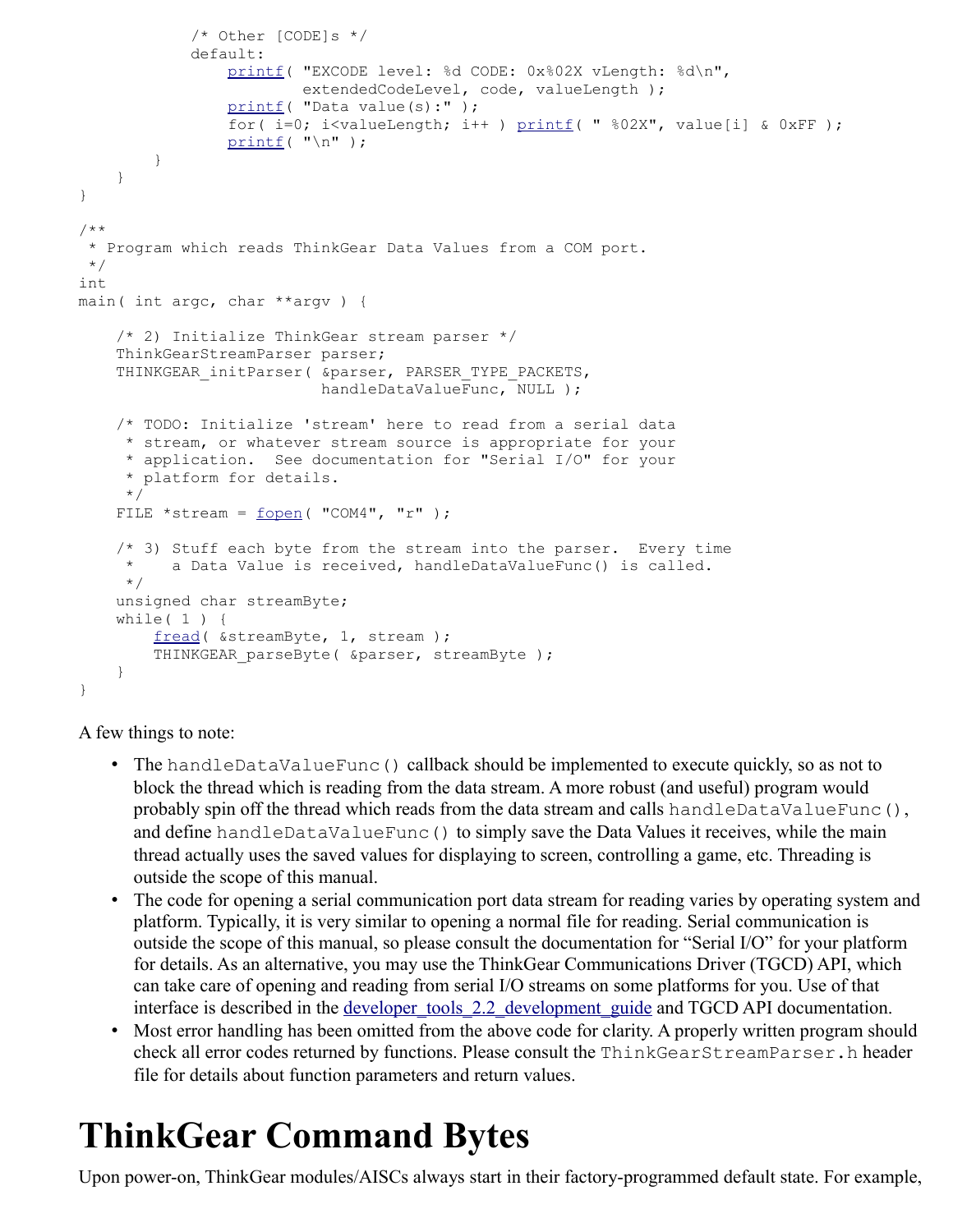```
 /* Other [CODE]s */
             default:
                 printf( "EXCODE level: %d CODE: 0x%02X vLength: %d\n",
                         extendedCodeLevel, code, valueLength );
                printf ( "Data value(s):" );
                for(i=0; i<valueLength; i++) print(f) "%02X", value[i] & 0xFF);
                printf("\n\n\);
         }
     }
}
/**
  * Program which reads ThinkGear Data Values from a COM port.
 ^{\star}/int
main( int argc, char **argv ) {
     /* 2) Initialize ThinkGear stream parser */
     ThinkGearStreamParser parser;
    THINKGEAR initParser( &parser, PARSER TYPE PACKETS,
                           handleDataValueFunc, NULL );
     /* TODO: Initialize 'stream' here to read from a serial data
      * stream, or whatever stream source is appropriate for your
      * application. See documentation for "Serial I/O" for your
      * platform for details.
      */
    FILE *stream = fopen( "COM4", "r" ); /* 3) Stuff each byte from the stream into the parser. Every time
      * a Data Value is received, handleDataValueFunc() is called.
      */
     unsigned char streamByte;
    while( 1 ) {
         fread( &streamByte, 1, stream );
        THINKGEAR parseByte( &parser, streamByte );
     }
}
```
A few things to note:

- The handleDataValueFunc() callback should be implemented to execute quickly, so as not to block the thread which is reading from the data stream. A more robust (and useful) program would probably spin off the thread which reads from the data stream and calls handleDataValueFunc(), and define handleDataValueFunc() to simply save the Data Values it receives, while the main thread actually uses the saved values for displaying to screen, controlling a game, etc. Threading is outside the scope of this manual.
- The code for opening a serial communication port data stream for reading varies by operating system and platform. Typically, it is very similar to opening a normal file for reading. Serial communication is outside the scope of this manual, so please consult the documentation for "Serial I/O" for your platform for details. As an alternative, you may use the ThinkGear Communications Driver (TGCD) API, which can take care of opening and reading from serial I/O streams on some platforms for you. Use of that interface is described in the <u>developer tools 2.2 development guide</u> and TGCD API documentation.
- Most error handling has been omitted from the above code for clarity. A properly written program should check all error codes returned by functions. Please consult the ThinkGearStreamParser.h header file for details about function parameters and return values.

# **ThinkGear Command Bytes**

Upon power-on, ThinkGear modules/AISCs always start in their factory-programmed default state. For example,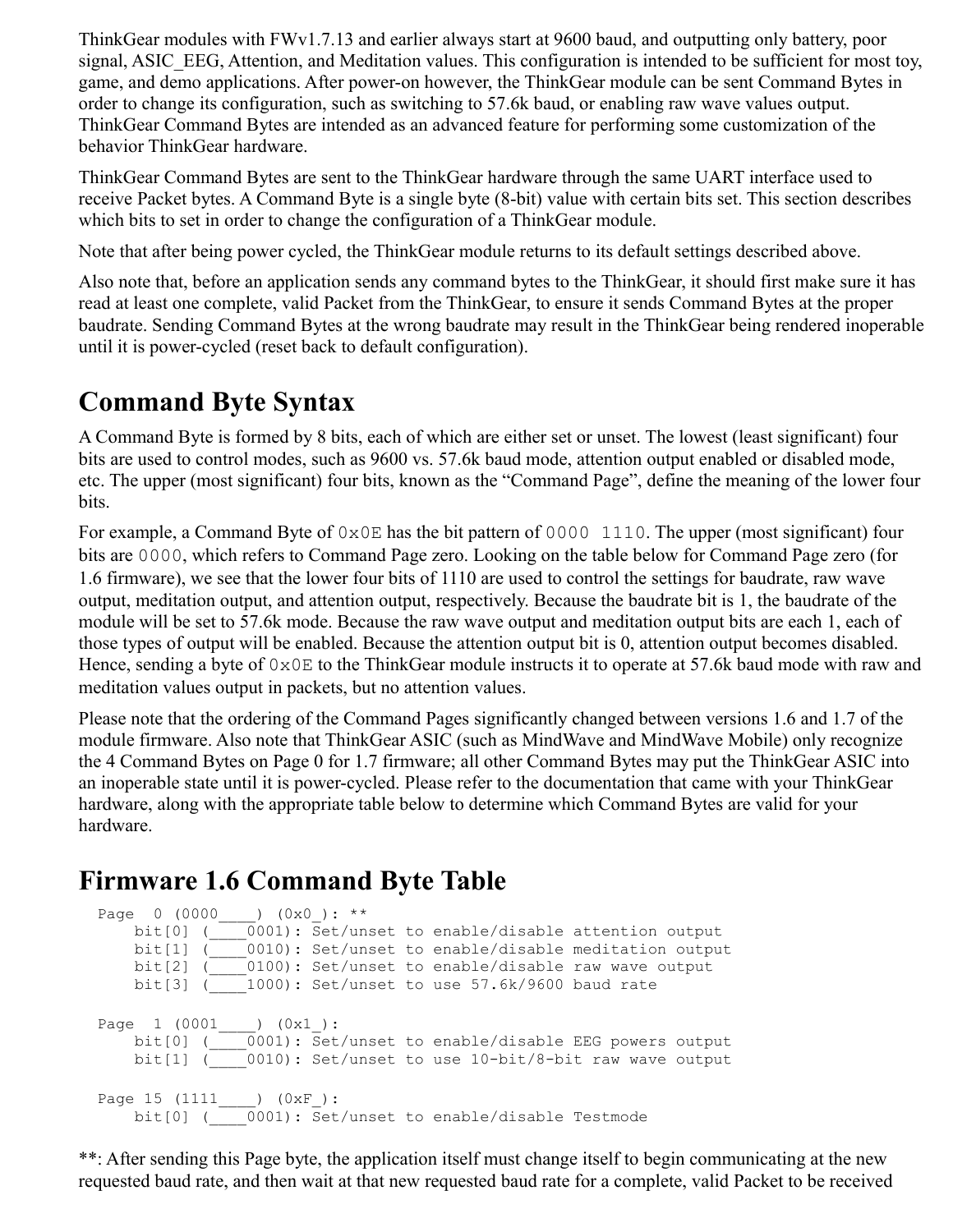ThinkGear modules with FWv1.7.13 and earlier always start at 9600 baud, and outputting only battery, poor signal, ASIC\_EEG, Attention, and Meditation values. This configuration is intended to be sufficient for most toy, game, and demo applications. After power-on however, the ThinkGear module can be sent Command Bytes in order to change its configuration, such as switching to 57.6k baud, or enabling raw wave values output. ThinkGear Command Bytes are intended as an advanced feature for performing some customization of the behavior ThinkGear hardware.

ThinkGear Command Bytes are sent to the ThinkGear hardware through the same UART interface used to receive Packet bytes. A Command Byte is a single byte (8-bit) value with certain bits set. This section describes which bits to set in order to change the configuration of a ThinkGear module.

Note that after being power cycled, the ThinkGear module returns to its default settings described above.

Also note that, before an application sends any command bytes to the ThinkGear, it should first make sure it has read at least one complete, valid Packet from the ThinkGear, to ensure it sends Command Bytes at the proper baudrate. Sending Command Bytes at the wrong baudrate may result in the ThinkGear being rendered inoperable until it is power-cycled (reset back to default configuration).

### **Command Byte Syntax**

A Command Byte is formed by 8 bits, each of which are either set or unset. The lowest (least significant) four bits are used to control modes, such as 9600 vs. 57.6k baud mode, attention output enabled or disabled mode, etc. The upper (most significant) four bits, known as the "Command Page", define the meaning of the lower four bits.

For example, a Command Byte of  $0 \times 0$  E has the bit pattern of 0000 1110. The upper (most significant) four bits are 0000, which refers to Command Page zero. Looking on the table below for Command Page zero (for 1.6 firmware), we see that the lower four bits of 1110 are used to control the settings for baudrate, raw wave output, meditation output, and attention output, respectively. Because the baudrate bit is 1, the baudrate of the module will be set to 57.6k mode. Because the raw wave output and meditation output bits are each 1, each of those types of output will be enabled. Because the attention output bit is 0, attention output becomes disabled. Hence, sending a byte of  $0 \times 0E$  to the ThinkGear module instructs it to operate at 57.6k baud mode with raw and meditation values output in packets, but no attention values.

Please note that the ordering of the Command Pages significantly changed between versions 1.6 and 1.7 of the module firmware. Also note that ThinkGear ASIC (such as MindWave and MindWave Mobile) only recognize the 4 Command Bytes on Page 0 for 1.7 firmware; all other Command Bytes may put the ThinkGear ASIC into an inoperable state until it is power-cycled. Please refer to the documentation that came with your ThinkGear hardware, along with the appropriate table below to determine which Command Bytes are valid for your hardware.

### **Firmware 1.6 Command Byte Table**

```
Page 0 (0000____) (0x0_): **
     bit[0] (\frac{1}{\sqrt{1-\frac{1}{n}}} (0001): Set/unset to enable/disable attention output
      bit[1] (____0010): Set/unset to enable/disable meditation output
 bit[2] (____0100): Set/unset to enable/disable raw wave output
 bit[3] (____1000): Set/unset to use 57.6k/9600 baud rate
Page 1 (0001____) (0x1_):
 bit[0] (____0001): Set/unset to enable/disable EEG powers output
     bit[1] ( 0010): Set/unset to use 10-bit/8-bit raw wave output
Page 15 (1111____) (0xF_):
 bit[0] (____0001): Set/unset to enable/disable Testmode
```
\*\*: After sending this Page byte, the application itself must change itself to begin communicating at the new requested baud rate, and then wait at that new requested baud rate for a complete, valid Packet to be received